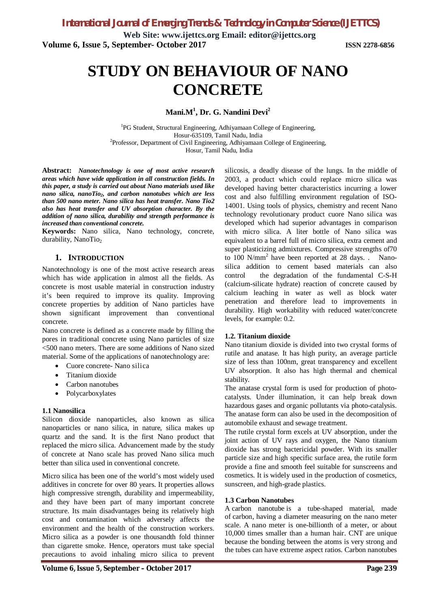**Web Site: [www.ijettcs.org](http://www.ijettcs.org) Email: [editor@ijettcs.org](mailto:editor@ijettcs.org) Volume 6, Issue 5, September- October 2017 ISSN 2278-6856**

# **STUDY ON BEHAVIOUR OF NANO CONCRETE**

# **Mani.M<sup>1</sup> , Dr. G. Nandini Devi<sup>2</sup>**

<sup>1</sup>PG Student, Structural Engineering, Adhiyamaan College of Engineering, Hosur-635109, Tamil Nadu, India <sup>2</sup>Professor, Department of Civil Engineering, Adhiyamaan College of Engineering, Hosur, Tamil Nadu, India

**Abstract:** *Nanotechnology is one of most active research areas which have wide application in all construction fields. In this paper, a study is carried out about Nano materials used like nano silica, nanoTio2, and carbon nanotubes which are less than 500 nano meter. Nano silica has heat transfer. Nano Tio2 also has heat transfer and UV absorption character. By the addition of nano silica, durability and strength performance is increased than conventional concrete.*

**Keywords:** Nano silica, Nano technology, concrete, durability, NanoTio<sub>2</sub>

## **1. INTRODUCTION**

Nanotechnology is one of the most active research areas which has wide application in almost all the fields. As concrete is most usable material in construction industry it's been required to improve its quality. Improving concrete properties by addition of Nano particles have shown significant improvement than conventional concrete.

Nano concrete is defined as a concrete made by filling the pores in traditional concrete using Nano particles of size <500 nano meters. There are some additions of Nano sized material. Some of the applications of nanotechnology are:

- Cuore concrete- Nano silica
- Titanium dioxide
- Carbon nanotubes
- Polycarboxylates

## **1.1 Nanosilica**

Silicon dioxide nanoparticles, also known as silica nanoparticles or nano silica, in nature, silica makes up quartz and the sand. It is the first Nano product that replaced the micro silica. Advancement made by the study of concrete at Nano scale has proved Nano silica much better than silica used in conventional concrete.

Micro silica has been one of the world's most widely used additives in concrete for over 80 years. It properties allows high compressive strength, durability and impermeability, and they have been part of many important concrete structure. Its main disadvantages being its relatively high cost and contamination which adversely affects the environment and the health of the construction workers. Micro silica as a powder is one thousandth fold thinner than cigarette smoke. Hence, operators must take special precautions to avoid inhaling micro silica to prevent

silicosis, a deadly disease of the lungs. In the middle of 2003, a product which could replace micro silica was developed having better characteristics incurring a lower cost and also fulfilling environment regulation of ISO-14001. Using tools of physics, chemistry and recent Nano technology revolutionary product cuore Nano silica was developed which had superior advantages in comparison with micro silica. A liter bottle of Nano silica was equivalent to a barrel full of micro silica, extra cement and super plasticizing admixtures. Compressive strengths of70 to 100  $\text{N/mm}^2$  have been reported at 28 days. . Nanosilica addition to cement based materials can also control the degradation of the fundamental C-S-H (calcium-silicate hydrate) reaction of concrete caused by calcium leaching in water as well as block water penetration and therefore lead to improvements in durability. High workability with reduced water/concrete levels, for example: 0.2.

## **1.2. Titanium dioxide**

Nano titanium dioxide is divided into two crystal forms of rutile and anatase. It has high purity, an average particle size of less than 100nm, great transparency and excellent UV absorption. It also has high thermal and chemical stability.

The anatase crystal form is used for production of photocatalysts. Under illumination, it can help break down hazardous gases and organic pollutants via photo-catalysis. The anatase form can also be used in the decomposition of automobile exhaust and sewage treatment.

The rutile crystal form excels at UV absorption, under the joint action of UV rays and oxygen, the Nano titanium dioxide has strong bactericidal powder. With its smaller particle size and high specific surface area, the rutile form provide a fine and smooth feel suitable for sunscreens and cosmetics. It is widely used in the production of cosmetics, sunscreen, and high-grade plastics.

### **1.3 Carbon Nanotubes**

A carbon nanotube is a tube-shaped material, made of carbon, having a diameter measuring on the nano meter scale. A nano meter is one-billionth of a meter, or about 10,000 times smaller than a human hair. CNT are unique because the bonding between the atoms is very strong and the tubes can have extreme aspect ratios. Carbon nanotubes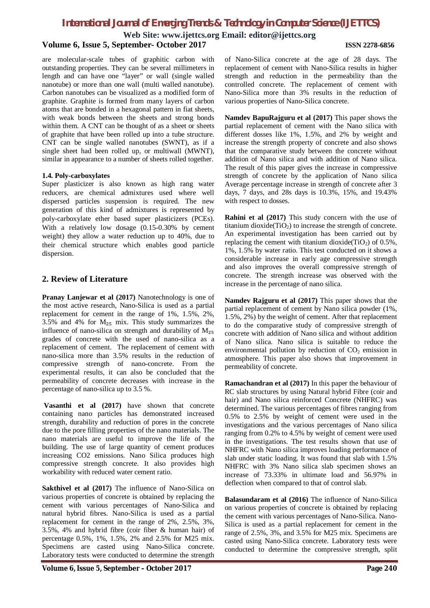**Web Site: [www.ijettcs.org](http://www.ijettcs.org) Email: [editor@ijettcs.org](mailto:editor@ijettcs.org)**

### **Volume 6, Issue 5, September- October 2017 ISSN 2278-6856**

are molecular-scale tubes of graphitic carbon with outstanding properties. They can be several millimeters in length and can have one "layer" or wall (single walled nanotube) or more than one wall (multi walled nanotube). Carbon nanotubes can be visualized as a modified form of graphite. Graphite is formed from many layers of carbon atoms that are bonded in a hexagonal pattern in fiat sheets, with weak bonds between the sheets and strong bonds within them. A CNT can be thought of as a sheet or sheets of graphite that have been rolled up into a tube structure. CNT can be single walled nanotubes (SWNT), as if a single sheet had been rolled up, or multiwall (MWNT), similar in appearance to a number of sheets rolled together.

### **1.4. Poly-carboxylates**

Super plasticizer is also known as high rang water reducers, are chemical admixtures used where well dispersed particles suspension is required. The new generation of this kind of admixtures is represented by poly-carboxylate ether based super plasticizers (PCEs). With a relatively low dosage (0.15-0.30% by cement weight) they allow a water reduction up to 40%, due to their chemical structure which enables good particle dispersion.

## **2. Review of Literature**

**Pranay Lanjewar et al (2017)** Nanotechnology is one of the most active research, Nano-Silica is used as a partial replacement for cement in the range of 1%, 1.5%, 2%, 3.5% and 4% for  $M<sub>25</sub>$  mix. This study summarizes the influence of nano-silica on strength and durability of  $M<sub>25</sub>$ grades of concrete with the used of nano-silica as a replacement of cement. The replacement of cement with nano-silica more than 3.5% results in the reduction of compressive strength of nano-concrete. From the experimental results, it can also be concluded that the permeability of concrete decreases with increase in the percentage of nano-silica up to 3.5 %.

**Vasanthi et al (2017)** have shown that concrete containing nano particles has demonstrated increased strength, durability and reduction of pores in the concrete due to the pore filling properties of the nano materials. The nano materials are useful to improve the life of the building. The use of large quantity of cement produces increasing CO2 emissions. Nano Silica produces high compressive strength concrete. It also provides high workability with reduced water cement ratio.

**Sakthivel et al (2017)** The influence of Nano-Silica on various properties of concrete is obtained by replacing the cement with various percentages of Nano-Silica and natural hybrid fibres. Nano-Silica is used as a partial replacement for cement in the range of 2%, 2.5%, 3%, 3.5%, 4% and hybrid fibre (coir fiber & human hair) of percentage 0.5%, 1%, 1.5%, 2% and 2.5% for M25 mix. Specimens are casted using Nano-Silica concrete. Laboratory tests were conducted to determine the strength

**Volume 6, Issue 5, September – October 2017 Page 240**

of Nano-Silica concrete at the age of 28 days. The replacement of cement with Nano-Silica results in higher strength and reduction in the permeability than the controlled concrete. The replacement of cement with Nano-Silica more than 3% results in the reduction of various properties of Nano-Silica concrete.

**Namdev BapuRajguru et al (2017)** This paper shows the partial replacement of cement with the Nano silica with different dosses like 1%, 1.5%, and 2% by weight and increase the strength property of concrete and also shows that the comparative study between the concrete without addition of Nano silica and with addition of Nano silica. The result of this paper gives the increase in compressive strength of concrete by the application of Nano silica Average percentage increase in strength of concrete after 3 days, 7 days, and 28s days is 10.3%, 15%, and 19.43% with respect to dosses.

**Rahini et al (2017)** This study concern with the use of titanium dioxide( $TiO<sub>2</sub>$ ) to increase the strength of concrete. An experimental investigation has been carried out by replacing the cement with titanium dioxide( $TiO<sub>2</sub>$ ) of 0.5%, 1%, 1.5% by water ratio. This test conducted on it shows a considerable increase in early age compressive strength and also improves the overall compressive strength of concrete. The strength increase was observed with the increase in the percentage of nano silica.

**Namdev Rajguru et al (2017)** This paper shows that the partial replacement of cement by Nano silica powder (1%, 1.5%, 2%) by the weight of cement. After that replacement to do the comparative study of compressive strength of concrete with addition of Nano silica and without addition of Nano silica. Nano silica is suitable to reduce the environmental pollution by reduction of  $CO<sub>2</sub>$  emission in atmosphere. This paper also shows that improvement in permeability of concrete.

**Ramachandran et al (2017)** In this paper the behaviour of RC slab structures by using Natural hybrid Fibre (coir and hair) and Nano silica reinforced Concrete (NHFRC) was determined. The various percentages of fibres ranging from 0.5% to 2.5% by weight of cement were used in the investigations and the various percentages of Nano silica ranging from 0.2% to 4.5% by weight of cement were used in the investigations. The test results shown that use of NHFRC with Nano silica improves loading performance of slab under static loading. It was found that slab with 1.5% NHFRC with 3% Nano silica slab specimen shows an increase of 73.33% in ultimate load and 56.97% in deflection when compared to that of control slab.

**Balasundaram et al (2016)** The influence of Nano-Silica on various properties of concrete is obtained by replacing the cement with various percentages of Nano-Silica. Nano-Silica is used as a partial replacement for cement in the range of 2.5%, 3%, and 3.5% for M25 mix. Specimens are casted using Nano-Silica concrete. Laboratory tests were conducted to determine the compressive strength, split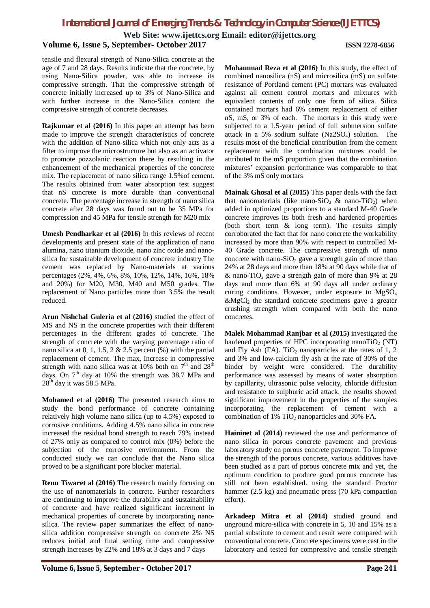**Web Site: [www.ijettcs.org](http://www.ijettcs.org) Email: [editor@ijettcs.org](mailto:editor@ijettcs.org)**

# **Volume 6, Issue 5, September- October 2017 ISSN 2278-6856**

tensile and flexural strength of Nano-Silica concrete at the age of 7 and 28 days. Results indicate that the concrete, by using Nano-Silica powder, was able to increase its compressive strength. That the compressive strength of concrete initially increased up to 3% of Nano-Silica and with further increase in the Nano-Silica content the compressive strength of concrete decreases.

**Rajkumar et al (2016)** In this paper an attempt has been made to improve the strength characteristics of concrete with the addition of Nano-silica which not only acts as a filter to improve the microstructure but also as an activator to promote pozzolanic reaction there by resulting in the enhancement of the mechanical properties of the concrete mix. The replacement of nano silica range 1.5%of cement. The results obtained from water absorption test suggest that nS concrete is more durable than conventional concrete. The percentage increase in strength of nano silica concrete after 28 days was found out to be 35 MPa for compression and 45 MPa for tensile strength for M20 mix

**Umesh Pendharkar et al (2016)** In this reviews of recent developments and present state of the application of nano alumina, nano titanium dioxide, nano zinc oxide and nanosilica for sustainable development of concrete industry The cement was replaced by Nano-materials at various percentages (2%, 4%, 6%, 8%, 10%, 12%, 14%, 16%, 18% and 20%) for M20, M30, M40 and M50 grades. The replacement of Nano particles more than 3.5% the result reduced.

**Arun Nishchal Guleria et al (2016)** studied the effect of MS and NS in the concrete properties with their different percentages in the different grades of concrete. The strength of concrete with the varying percentage ratio of nano silica at 0, 1, 1.5, 2 & 2.5 percent (%) with the partial replacement of cement. The max, Increase in compressive strength with nano silica was at 10% both on  $7<sup>th</sup>$  and  $28<sup>th</sup>$ days. On  $7<sup>th</sup>$  day at 10% the strength was 38.7 MPa and  $28<sup>th</sup>$  day it was 58.5 MPa.

**Mohamed et al (2016)** The presented research aims to study the bond performance of concrete containing relatively high volume nano silica (up to 4.5%) exposed to corrosive conditions. Adding 4.5% nano silica in concrete increased the residual bond strength to reach 79% instead of 27% only as compared to control mix (0%) before the subjection of the corrosive environment. From the conducted study we can conclude that the Nano silica proved to be a significant pore blocker material.

**Renu Tiwaret al (2016)** The research mainly focusing on the use of nanomaterials in concrete. Further researchers are continuing to improve the durability and sustainability of concrete and have realized significant increment in mechanical properties of concrete by incorporating nanosilica. The review paper summarizes the effect of nanosilica addition compressive strength on concrete 2% NS reduces initial and final setting time and compressive strength increases by 22% and 18% at 3 days and 7 days

**Mohammad Reza et al (2016)** In this study, the effect of combined nanosilica (nS) and microsilica (mS) on sulfate resistance of Portland cement (PC) mortars was evaluated against all cement control mortars and mixtures with equivalent contents of only one form of silica. Silica contained mortars had 6% cement replacement of either nS, mS, or 3% of each. The mortars in this study were subjected to a 1.5-year period of full submersion sulfate attack in a 5% sodium sulfate  $(Na2SO<sub>4</sub>)$  solution. The results most of the beneficial contribution from the cement replacement with the combination mixtures could be attributed to the mS proportion given that the combination mixtures' expansion performance was comparable to that of the 3% mS only mortars

**Mainak Ghosal et al (2015)** This paper deals with the fact that nanomaterials (like nano-SiO<sub>2</sub> & nano-TiO<sub>2</sub>) when added in optimized proportions to a standard M-40 Grade concrete improves its both fresh and hardened properties (both short term & long term). The results simply corroborated the fact that for nano concrete the workability increased by more than 90% with respect to controlled M-40 Grade concrete. The compressive strength of nano concrete with nano-SiO<sub>2</sub> gave a strength gain of more than 24% at 28 days and more than 18% at 90 days while that of  $\&$  nano-TiO<sub>2</sub> gave a strength gain of more than 9% at 28 days and more than 6% at 90 days all under ordinary curing conditions. However, under exposure to  $MgSO<sub>4</sub>$  $\&$ MgCl<sub>2</sub> the standard concrete specimens gave a greater crushing strength when compared with both the nano concretes.

**Malek Mohammad Ranjbar et al (2015)** investigated the hardened properties of HPC incorporating nanoTiO<sub>2</sub> (NT) and Fly Ash (FA). TiO<sub>2</sub> nanoparticles at the rates of 1, 2 and 3% and low-calcium fly ash at the rate of 30% of the binder by weight were considered. The durability performance was assessed by means of water absorption by capillarity, ultrasonic pulse velocity, chloride diffusion and resistance to sulphuric acid attack. the results showed significant improvement in the properties of the samples incorporating the replacement of cement with a combination of  $1\%$  TiO<sub>2</sub> nanoparticles and 30% FA.

**Haininet al (2014)** reviewed the use and performance of nano silica in porous concrete pavement and previous laboratory study on porous concrete pavement. To improve the strength of the porous concrete, various additives have been studied as a part of porous concrete mix and yet, the optimum condition to produce good porous concrete has still not been established. using the standard Proctor hammer (2.5 kg) and pneumatic press (70 kPa compaction effort).

**Arkadeep Mitra et al (2014)** studied ground and unground micro-silica with concrete in 5, 10 and 15% as a partial substitute to cement and result were compared with conventional concrete. Concrete specimens were cast in the laboratory and tested for compressive and tensile strength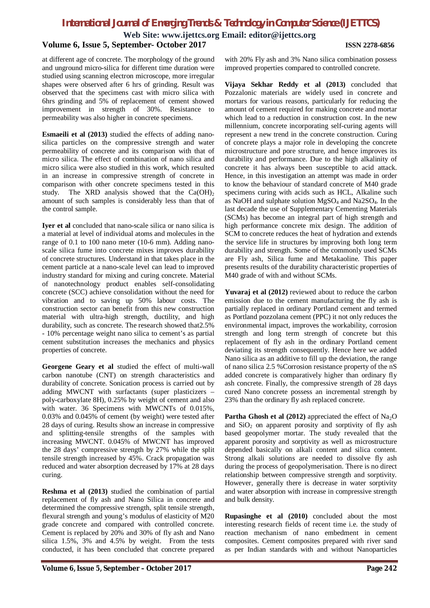**Web Site: [www.ijettcs.org](http://www.ijettcs.org) Email: [editor@ijettcs.org](mailto:editor@ijettcs.org)**

# **Volume 6, Issue 5, September- October 2017 ISSN 2278-6856**

at different age of concrete. The morphology of the ground and unground micro-silica for different time duration were studied using scanning electron microscope, more irregular shapes were observed after 6 hrs of grinding. Result was observed that the specimens cast with micro silica with 6hrs grinding and 5% of replacement of cement showed improvement in strength of 30%. Resistance to permeability was also higher in concrete specimens.

**Esmaeili et al (2013)** studied the effects of adding nanosilica particles on the compressive strength and water permeability of concrete and its comparison with that of micro silica. The effect of combination of nano silica and micro silica were also studied in this work, which resulted in an increase in compressive strength of concrete in comparison with other concrete specimens tested in this study. The XRD analysis showed that the  $Ca(OH)_{2}$ amount of such samples is considerably less than that of the control sample.

**Iyer et al** concluded that nano-scale silica or nano silica is a material at level of individual atoms and molecules in the range of 0.1 to 100 nano meter (10-6 mm). Adding nanoscale silica fume into concrete mixes improves durability of concrete structures. Understand in that takes place in the cement particle at a nano-scale level can lead to improved industry standard for mixing and curing concrete. Material of nanotechnology product enables self-consolidating concrete (SCC) achieve consolidation without the need for vibration and to saving up 50% labour costs. The construction sector can benefit from this new construction material with ultra-high strength, ductility, and high durability, such as concrete. The research showed that2.5% - 10% percentage weight nano silica to cement's as partial cement substitution increases the mechanics and physics properties of concrete.

**Georgene Geary et al** studied the effect of multi-wall carbon nanotube (CNT) on strength characteristics and durability of concrete. Sonication process is carried out by adding MWCNT with surfactants (super plasticizers – poly-carboxylate 8H), 0.25% by weight of cement and also with water. 36 Specimens with MWCNTs of 0.015%, 0.03% and 0.045% of cement (by weight) were tested after 28 days of curing. Results show an increase in compressive and splitting-tensile strengths of the samples with increasing MWCNT. 0.045% of MWCNT has improved the 28 days' compressive strength by 27% while the split tensile strength increased by 45%. Crack propagation was reduced and water absorption decreased by 17% at 28 days curing.

**Reshma et al (2013)** studied the combination of partial replacement of fly ash and Nano Silica in concrete and determined the compressive strength, split tensile strength, flexural strength and young's modulus of elasticity of M20 grade concrete and compared with controlled concrete. Cement is replaced by 20% and 30% of fly ash and Nano silica 1.5%, 3% and 4.5% by weight. From the tests conducted, it has been concluded that concrete prepared

with 20% Fly ash and 3% Nano silica combination possess improved properties compared to controlled concrete.

**Vijaya Sekhar Reddy et al (2013)** concluded that Pozzalonic materials are widely used in concrete and mortars for various reasons, particularly for reducing the amount of cement required for making concrete and mortar which lead to a reduction in construction cost. In the new millennium, concrete incorporating self-curing agents will represent a new trend in the concrete construction. Curing of concrete plays a major role in developing the concrete microstructure and pore structure, and hence improves its durability and performance. Due to the high alkalinity of concrete it has always been susceptible to acid attack. Hence, in this investigation an attempt was made in order to know the behaviour of standard concrete of M40 grade specimens curing with acids such as HCL, Alkaline such as NaOH and sulphate solution MgSO<sup>4</sup> and Na2SO4. In the last decade the use of Supplementary Cementing Materials (SCMs) has become an integral part of high strength and high performance concrete mix design. The addition of SCM to concrete reduces the heat of hydration and extends the service life in structures by improving both long term durability and strength. Some of the commonly used SCMs are Fly ash, Silica fume and Metakaoline. This paper presents results of the durability characteristic properties of M40 grade of with and without SCMs.

**Yuvaraj et al (2012)** reviewed about to reduce the carbon emission due to the cement manufacturing the fly ash is partially replaced in ordinary Portland cement and termed as Portland pozzolana cement (PPC) it not only reduces the environmental impact, improves the workability, corrosion strength and long term strength of concrete but this replacement of fly ash in the ordinary Portland cement deviating its strength consequently. Hence here we added Nano silica as an additive to fill up the deviation, the range of nano silica 2.5 %Corrosion resistance property of the nS added concrete is comparatively higher than ordinary fly ash concrete. Finally, the compressive strength of 28 days cured Nano concrete possess an incremental strength by 23% than the ordinary fly ash replaced concrete.

**Partha Ghosh et al (2012)** appreciated the effect of Na<sub>2</sub>O and  $SiO<sub>2</sub>$  on apparent porosity and sorptivity of fly ash based geopolymer mortar. The study revealed that the apparent porosity and sorptivity as well as microstructure depended basically on alkali content and silica content. Strong alkali solutions are needed to dissolve fly ash during the process of geopolymerisation. There is no direct relationship between compressive strength and sorptivity. However, generally there is decrease in water sorptivity and water absorption with increase in compressive strength and bulk density.

**Rupasinghe et al (2010)** concluded about the most interesting research fields of recent time i.e. the study of reaction mechanism of nano embedment in cement composites. Cement composites prepared with river sand as per Indian standards with and without Nanoparticles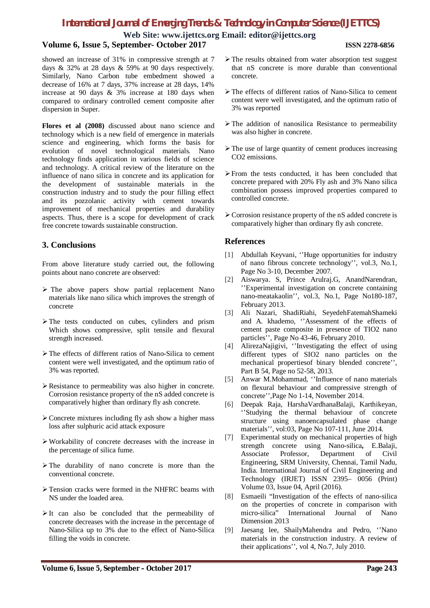### **Web Site: [www.ijettcs.org](http://www.ijettcs.org) Email: [editor@ijettcs.org](mailto:editor@ijettcs.org) Volume 6, Issue 5, September- October 2017 ISSN 2278-6856**

showed an increase of 31% in compressive strength at 7 days & 32% at 28 days & 59% at 90 days respectively. Similarly, Nano Carbon tube embedment showed a decrease of 16% at 7 days, 37% increase at 28 days, 14% increase at 90 days & 3% increase at 180 days when compared to ordinary controlled cement composite after dispersion in Super.

**Flores et al (2008)** discussed about nano science and technology which is a new field of emergence in materials science and engineering, which forms the basis for evolution of novel technological materials. Nano technology finds application in various fields of science and technology. A critical review of the literature on the influence of nano silica in concrete and its application for the development of sustainable materials in the construction industry and to study the pour filling effect and its pozzolanic activity with cement towards improvement of mechanical properties and durability aspects. Thus, there is a scope for development of crack free concrete towards sustainable construction.

# **3. Conclusions**

From above literature study carried out, the following points about nano concrete are observed:

- $\triangleright$  The above papers show partial replacement Nano materials like nano silica which improves the strength of concrete
- $\triangleright$  The tests conducted on cubes, cylinders and prism Which shows compressive, split tensile and flexural strength increased.
- The effects of different ratios of Nano-Silica to cement content were well investigated, and the optimum ratio of 3% was reported.
- $\triangleright$  Resistance to permeability was also higher in concrete. Corrosion resistance property of the nS added concrete is comparatively higher than ordinary fly ash concrete.
- $\triangleright$  Concrete mixtures including fly ash show a higher mass loss after sulphuric acid attack exposure
- Workability of concrete decreases with the increase in the percentage of silica fume.
- $\triangleright$  The durability of nano concrete is more than the conventional concrete.
- $\triangleright$  Tension cracks were formed in the NHFRC beams with NS under the loaded area.
- $\triangleright$  It can also be concluded that the permeability of concrete decreases with the increase in the percentage of Nano-Silica up to 3% due to the effect of Nano-Silica filling the voids in concrete.
- $\triangleright$  The results obtained from water absorption test suggest that nS concrete is more durable than conventional concrete.
- The effects of different ratios of Nano-Silica to cement content were well investigated, and the optimum ratio of 3% was reported
- $\triangleright$  The addition of nanosilica Resistance to permeability was also higher in concrete.
- $\triangleright$  The use of large quantity of cement produces increasing CO2 emissions.
- From the tests conducted, it has been concluded that concrete prepared with 20% Fly ash and 3% Nano silica combination possess improved properties compared to controlled concrete.
- Corrosion resistance property of the nS added concrete is comparatively higher than ordinary fly ash concrete.

# **References**

- [1] Abdullah Keyvani, ''Huge opportunities for industry of nano fibrous concrete technology'', vol.3, No.1, Page No 3-10, December 2007.
- [2] Aiswarya. S, Prince Arulraj.G, AnandNarendran, ''Experimental investigation on concrete containing nano-meatakaolin'', vol.3, No.1, Page No180-187, February 2013.
- [3] Ali Nazari, ShadiRiahi, SeyedehFatemahShameki and A. khademo, ''Assessment of the effects of cement paste composite in presence of TIO2 nano particles'', Page No 43-46, February 2010.
- [4] AlirezaNajigivi, ''Investigating the effect of using different types of SIO2 nano particles on the mechanical propertiesof binary blended concrete'', Part B 54, Page no 52-58, 2013.
- [5] Anwar M.Mohammad, ''Influence of nano materials on flexural behaviour and compressive strength of concrete'',Page No 1-14, November 2014.
- [6] Deepak Raja, HarshaVardhanaBalaji, Karthikeyan, ''Studying the thermal behaviour of concrete structure using nanoencapsulated phase change materials'', vol:03, Page No 107-111, June 2014.
- [7] Experimental study on mechanical properties of high strength concrete using Nano-silica**,** E.Balaji, Associate Professor, Department of Civil Engineering, SRM University, Chennai, Tamil Nadu, India. International Journal of Civil Engineering and Technology (IRJET) ISSN 2395– 0056 (Print) Volume 03, Issue 04, April (2016).
- [8] Esmaeili "Investigation of the effects of nano-silica on the properties of concrete in comparison with micro-silica" International Journal of Nano Dimension 2013
- [9] Jaesang lee, ShailyMahendra and Pedro, ''Nano materials in the construction industry. A review of their applications'', vol 4, No.7, July 2010.